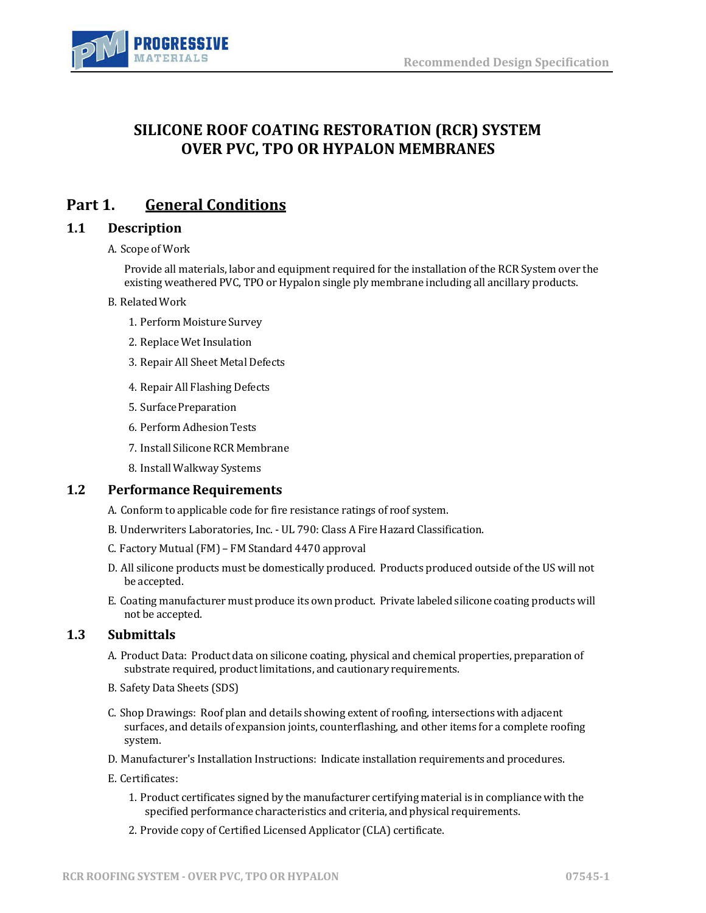

# **SILICONE ROOF COATING RESTORATION (RCR) SYSTEM OVER PVC, TPO OR HYPALON MEMBRANES**

## **Part 1. General Conditions**

## **1.1 Description**

A. Scope of Work

Provide all materials, labor and equipment required for the installation of the RCR System over the existing weathered PVC, TPO or Hypalon single ply membrane including all ancillary products.

- B. RelatedWork
	- 1. Perform Moisture Survey
	- 2. Replace Wet Insulation
	- 3. Repair All Sheet Metal Defects
	- 4. Repair All Flashing Defects
	- 5. Surface Preparation
	- 6. Perform Adhesion Tests
	- 7. Install Silicone RCR Membrane
	- 8. Install Walkway Systems

## **1.2** Performance Requirements

- A. Conform to applicable code for fire resistance ratings of roof system.
- B. Underwriters Laboratories, Inc. UL 790: Class A Fire Hazard Classification.
- C. Factory Mutual(FM) FM Standard 4470 approval
- D. All silicone products must be domestically produced. Products produced outside of the US will not be accepted.
- E. Coating manufacturer must produce its own product. Private labeled silicone coating products will not be accepted.

## **1.3 Submittals**

- A. Product Data: Product data on silicone coating, physical and chemical properties, preparation of substrate required, product limitations, and cautionary requirements.
- B. Safety Data Sheets (SDS)
- C. Shop Drawings: Roof plan and details showing extent of roofing, intersections with adjacent surfaces, and details of expansion joints, counterflashing, and other items for a complete roofing system.
- D. Manufacturer's Installation Instructions: Indicate installation requirements and procedures.
- E. Certificates:
	- 1. Product certificates signed by the manufacturer certifying material is in compliance with the specified performance characteristics and criteria, and physical requirements.
	- 2. Provide copy of Certified Licensed Applicator (CLA) certificate.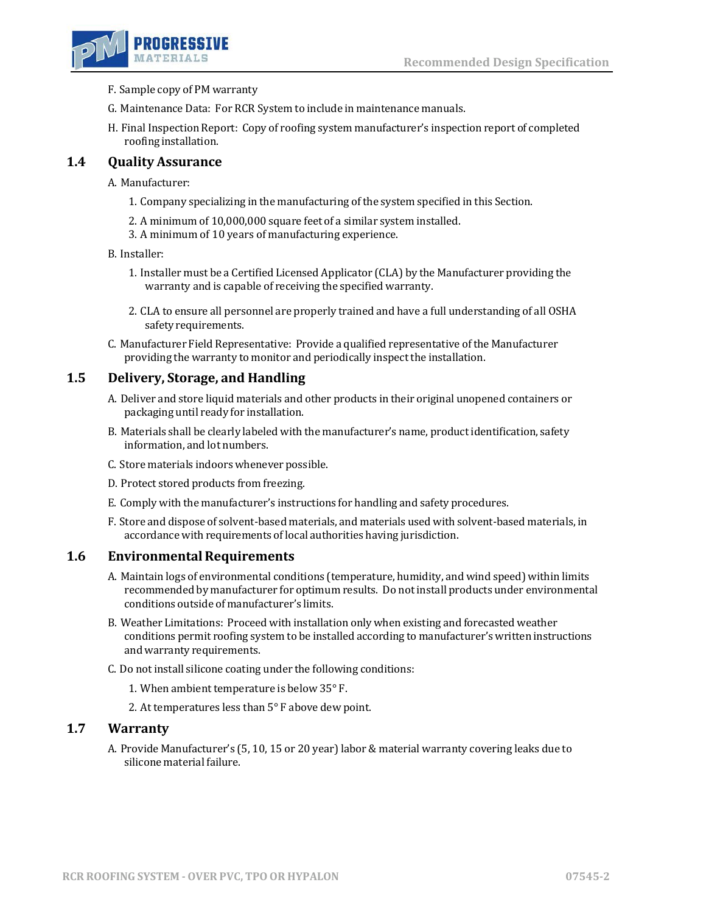

- F. Sample copy of PM warranty
- G. Maintenance Data: For RCR System to include in maintenance manuals.
- H. Final Inspection Report: Copy of roofing system manufacturer's inspection report of completed roofing installation.

### **1.4 Quality Assurance**

#### A. Manufacturer:

- 1. Company specializing in the manufacturing of the system specified in this Section.
- 2. A minimum of 10,000,000 square feet of a similar system installed.
- 3. A minimum of 10 years of manufacturing experience.

#### B. Installer:

- 1. Installer must be a Certified Licensed Applicator (CLA) by the Manufacturer providing the warranty and is capable of receiving the specified warranty.
- 2. CLA to ensure all personnel are properly trained and have a full understanding of all OSHA safety requirements.
- C. Manufacturer Field Representative: Provide a qualified representative ofthe Manufacturer providing the warranty to monitor and periodically inspect the installation.

## **1.5 Delivery, Storage, and Handling**

- A. Deliver and store liquid materials and other products in their original unopened containers or packaging until ready for installation.
- B. Materials shall be clearly labeled with the manufacturer's name, product identification, safety information, and lot numbers.
- C. Store materials indoors whenever possible.
- D. Protect stored products from freezing.
- E. Comply with the manufacturer's instructions for handling and safety procedures.
- F. Store and dispose of solvent-based materials, and materials used with solvent-based materials, in accordance with requirements of local authorities having jurisdiction.

### **1.6 Environmental Requirements**

- A. Maintain logs of environmental conditions (temperature, humidity, and wind speed) within limits recommended by manufacturer for optimum results. Do not install products under environmental conditions outside of manufacturer's limits.
- B. Weather Limitations: Proceed with installation only when existing and forecasted weather conditions permit roofing system to be installed according to manufacturer's written instructions and warranty requirements.
- C. Do not install silicone coating under the following conditions:
	- 1. When ambient temperature is below 35° F.
	- 2. At temperatures less than 5° F above dew point.

### **1.7 Warranty**

A. Provide Manufacturer's (5, 10, 15 or 20 year) labor & material warranty covering leaks due to silicone material failure.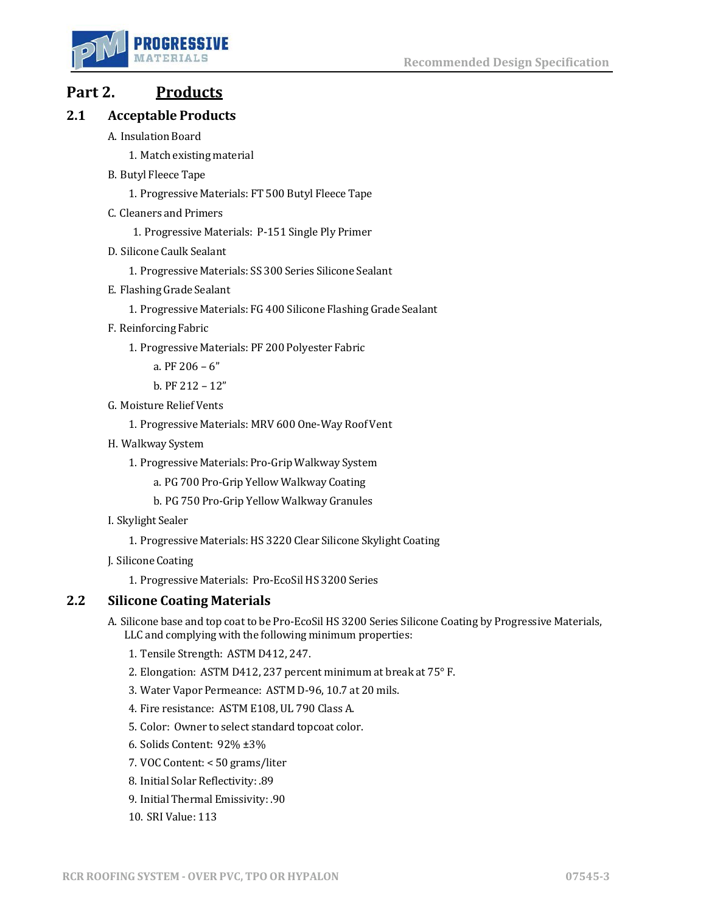

# **Part 2. Products**

## **2.1 Acceptable Products**

- A. Insulation Board
	- 1. Match existing material
- B. Butyl Fleece Tape
	- 1. Progressive Materials: FT 500 Butyl Fleece Tape
- C. Cleaners and Primers
	- 1. Progressive Materials: P-151 Single Ply Primer
- D. Silicone Caulk Sealant
	- 1. Progressive Materials: SS 300 Series Silicone Sealant
- E. Flashing Grade Sealant
	- 1. Progressive Materials: FG 400 Silicone Flashing Grade Sealant
- F. ReinforcingFabric
	- 1. Progressive Materials: PF 200 Polyester Fabric
		- a. PF 206 6"
		- b. PF 212 12"
- G. Moisture Relief Vents
	- 1. Progressive Materials: MRV 600 One-Way Roof Vent
- H. Walkway System
	- 1. Progressive Materials: Pro-Grip Walkway System
		- a. PG 700 Pro-Grip Yellow Walkway Coating
		- b. PG 750 Pro-Grip Yellow Walkway Granules
- I. Skylight Sealer
	- 1. Progressive Materials: HS 3220 Clear Silicone Skylight Coating
- J. Silicone Coating
	- 1. Progressive Materials: Pro-EcoSil HS 3200 Series

## **2.2 Silicone Coating Materials**

A. Silicone base and top coat to be Pro-EcoSil HS 3200 Series Silicone Coating by Progressive Materials, LLC and complying with the following minimum properties:

- 1. Tensile Strength: ASTM D412, 247.
- 2. Elongation: ASTM D412, 237 percent minimum at break at 75° F.
- 3. Water Vapor Permeance: ASTM D-96, 10.7 at 20 mils.
- 4. Fire resistance: ASTM E108, UL 790 Class A.
- 5. Color: Owner to select standard topcoat color.
- 6. Solids Content: 92% ±3%
- 7. VOC Content: < 50 grams/liter
- 8. Initial Solar Reflectivity: .89
- 9. Initial Thermal Emissivity: .90
- 10. SRI Value: 113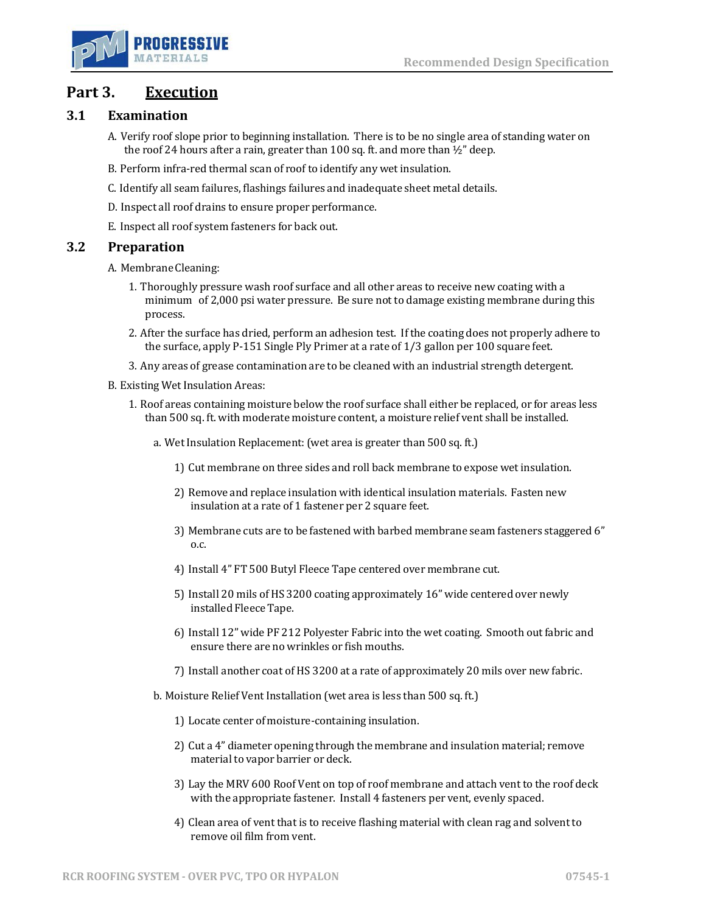

## **Part 3. Execution**

## **3.1 Examination**

- A. Verify roof slope prior to beginning installation. There is to be no single area of standing water on the roof 24 hours after a rain, greater than 100 sq. ft. and more than ½" deep.
- B. Perform infra-red thermal scan of roof to identify any wet insulation.
- C. Identify all seam failures, flashings failures and inadequate sheet metal details.
- D. Inspect all roof drains to ensure proper performance.
- E. Inspect all roof system fasteners for back out.

#### **3.2 Preparation**

- A. MembraneCleaning:
	- 1. Thoroughly pressure wash roof surface and all other areas to receive new coating with a minimum of 2,000 psi water pressure. Be sure not to damage existing membrane during this process.
	- 2. After the surface has dried, perform an adhesion test. If the coating does not properly adhere to the surface, apply P-151 Single Ply Primer at a rate of 1/3 gallon per 100 square feet.
	- 3. Any areas of grease contamination are to be cleaned with an industrial strength detergent.
- B. Existing Wet Insulation Areas:
	- 1. Roof areas containing moisture below the roof surface shall either be replaced, or for areas less than 500 sq. ft. with moderate moisture content, a moisture relief vent shall be installed.
		- a. Wet Insulation Replacement:(wet area is greater than 500 sq. ft.)
			- 1) Cut membrane on three sides and roll back membrane to expose wet insulation.
			- 2) Remove and replace insulation with identical insulation materials. Fasten new insulation at a rate of 1 fastener per 2 square feet.
			- 3) Membrane cuts are to be fastened with barbed membrane seam fasteners staggered 6" o.c.
			- 4) Install 4" FT 500 Butyl Fleece Tape centered over membrane cut.
			- 5) Install 20 mils of HS 3200 coating approximately 16" wide centered over newly installed Fleece Tape.
			- 6) Install 12" wide PF 212 Polyester Fabric into the wet coating. Smooth out fabric and ensure there are no wrinkles or fish mouths.
			- 7) Install another coat of HS 3200 at a rate of approximately 20 mils over new fabric.
		- b. Moisture Relief Vent Installation (wet area is less than 500 sq. ft.)
			- 1) Locate center of moisture-containing insulation.
			- 2) Cut a 4" diameter opening through the membrane and insulation material; remove material to vapor barrier or deck.
			- 3) Lay the MRV 600 Roof Vent on top of roof membrane and attach vent to the roof deck with the appropriate fastener. Install 4 fasteners per vent, evenly spaced.
			- 4) Clean area of vent that is to receive flashing material with clean rag and solvent to remove oil film from vent.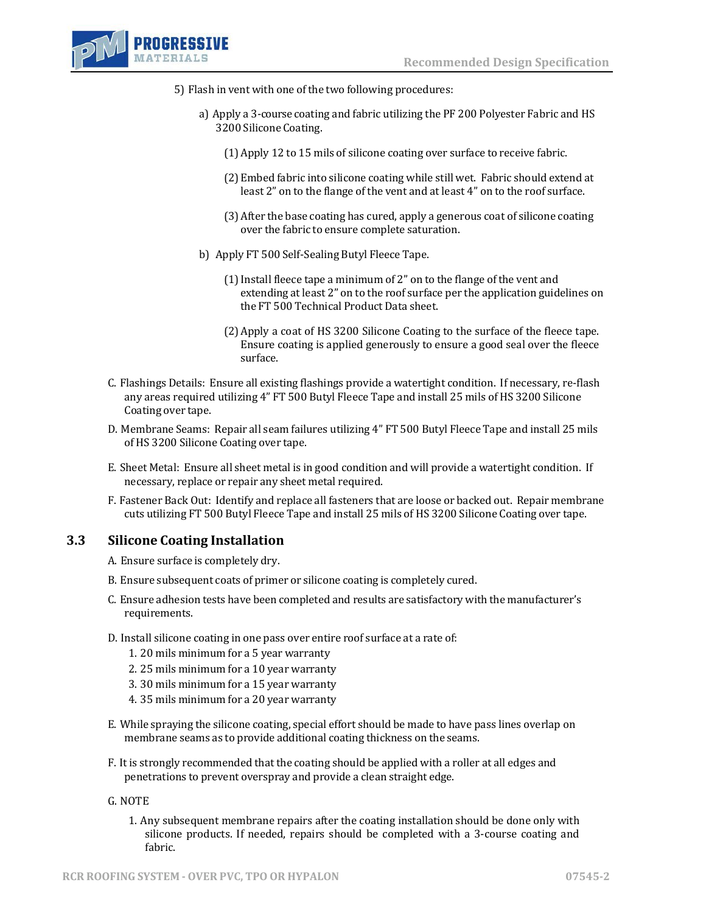

- 5) Flash in vent with one of the two following procedures:
	- a) Apply a 3-course coating and fabric utilizing the PF 200 Polyester Fabric and HS 3200 Silicone Coating.
		- (1)Apply 12 to 15 mils of silicone coating over surface to receive fabric.
		- (2)Embed fabric into silicone coating while still wet. Fabric should extend at least 2" on to the flange of the vent and at least 4" on to the roof surface.
		- (3)After the base coating has cured, apply a generous coat of silicone coating over the fabric to ensure complete saturation.
	- b) Apply FT 500 Self-Sealing Butyl Fleece Tape.
		- (1)Install fleece tape a minimum of 2" on to the flange of the vent and extending at least 2" on to the roof surface per the application guidelines on the FT 500 Technical Product Data sheet.
		- (2)Apply a coat of HS 3200 Silicone Coating to the surface of the fleece tape. Ensure coating is applied generously to ensure a good seal over the fleece surface.
- C. Flashings Details: Ensure all existing flashings provide a watertight condition. If necessary, re-flash any areas required utilizing 4" FT 500 Butyl Fleece Tape and install 25 mils of HS 3200 Silicone Coating over tape.
- D. Membrane Seams: Repair all seam failures utilizing 4" FT 500 Butyl Fleece Tape and install 25 mils of HS 3200 Silicone Coating over tape.
- E. Sheet Metal: Ensure all sheet metal is in good condition and will provide a watertight condition. If necessary, replace or repair any sheet metal required.
- F. Fastener Back Out: Identify and replace all fasteners that are loose or backed out. Repair membrane cuts utilizing FT 500 Butyl Fleece Tape and install 25 mils of HS 3200 Silicone Coating over tape.

### **3.3 Silicone Coating Installation**

- A. Ensure surface is completely dry.
- B. Ensure subsequent coats of primer or silicone coating is completely cured.
- C. Ensure adhesion tests have been completed and results are satisfactory with the manufacturer's requirements.
- D. Install silicone coating in one pass over entire roof surface at a rate of:
	- 1. 20 mils minimum for a 5 year warranty
	- 2. 25 mils minimum for a 10 year warranty
	- 3. 30 mils minimum for a 15 year warranty
	- 4. 35 mils minimum for a 20 year warranty
- E. While spraying the silicone coating, special effort should be made to have pass lines overlap on membrane seams as to provide additional coating thickness on the seams.
- F. It is strongly recommended that the coating should be applied with a roller at all edges and penetrations to prevent overspray and provide a clean straight edge.

#### G. NOTE

1. Any subsequent membrane repairs after the coating installation should be done only with silicone products. If needed, repairs should be completed with a 3-course coating and fabric.